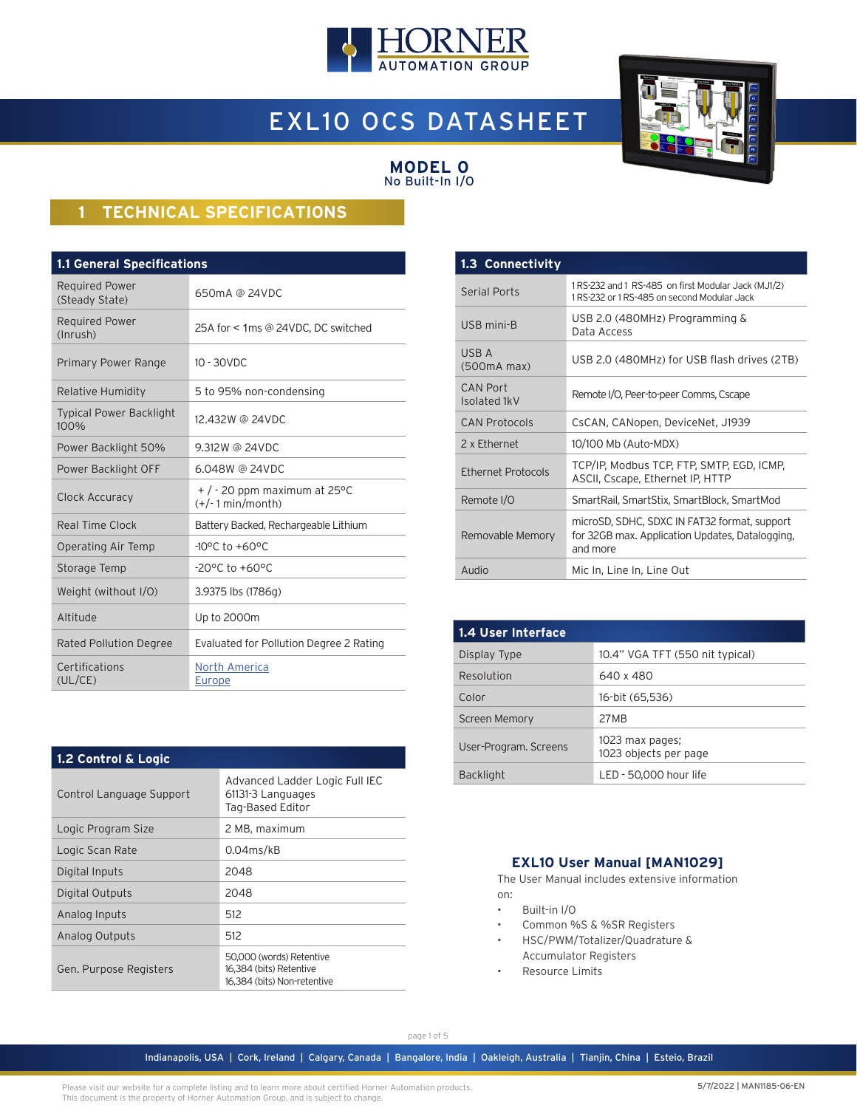

# EXL10 OCS DATASHEET



#### **MODEL 0** No Built-In I/O

# **1 TECHNICAL SPECIFICATIONS**

| <b>1.1 General Specifications</b>       |                                                        |  |  |
|-----------------------------------------|--------------------------------------------------------|--|--|
| <b>Required Power</b><br>(Steady State) | 650mA @ 24VDC                                          |  |  |
| <b>Required Power</b><br>(Inrush)       | 25A for < 1ms @ 24VDC, DC switched                     |  |  |
| Primary Power Range                     | $10 - 30$ VDC                                          |  |  |
| Relative Humidity                       | 5 to 95% non-condensing                                |  |  |
| <b>Typical Power Backlight</b><br>100%  | 12,432W @ 24VDC                                        |  |  |
| Power Backlight 50%                     | 9.312W @ 24VDC                                         |  |  |
| Power Backlight OFF                     | 6.048W @ 24VDC                                         |  |  |
| Clock Accuracy                          | $+$ / - 20 ppm maximum at 25 °C<br>$(+/- 1 min/month)$ |  |  |
| Real Time Clock                         | Battery Backed, Rechargeable Lithium                   |  |  |
| Operating Air Temp                      | $-10^{\circ}$ C to $+60^{\circ}$ C                     |  |  |
| Storage Temp                            | $-20^{\circ}$ C to $+60^{\circ}$ C                     |  |  |
| Weight (without I/O)                    | 3.9375 lbs (1786g)                                     |  |  |
| Altitude                                | Up to 2000m                                            |  |  |
| <b>Rated Pollution Degree</b>           | Evaluated for Pollution Degree 2 Rating                |  |  |
| Certifications<br>(UL/CE)               | North America<br>Europe                                |  |  |

| 1.2 Control & Logic      |                                                                                    |  |  |
|--------------------------|------------------------------------------------------------------------------------|--|--|
| Control Language Support | Advanced Ladder Logic Full IEC<br>61131-3 Languages<br>Tag-Based Editor            |  |  |
| Logic Program Size       | 2 MB, maximum                                                                      |  |  |
| Logic Scan Rate          | $0.04$ ms/kB                                                                       |  |  |
| Digital Inputs           | 2048                                                                               |  |  |
| Digital Outputs          | 2048                                                                               |  |  |
| Analog Inputs            | 512                                                                                |  |  |
| Analog Outputs           | 512                                                                                |  |  |
| Gen. Purpose Registers   | 50,000 (words) Retentive<br>16,384 (bits) Retentive<br>16,384 (bits) Non-retentive |  |  |

| 1.3 Connectivity                |                                                                                                             |
|---------------------------------|-------------------------------------------------------------------------------------------------------------|
| <b>Serial Ports</b>             | 1RS-232 and 1 RS-485 on first Modular Jack (MJ1/2)<br>1 RS-232 or 1 RS-485 on second Modular Jack           |
| USB mini-B                      | USB 2.0 (480MHz) Programming $\&$<br>Data Access                                                            |
| USB A<br>(500mA max)            | USB 2.0 (480MHz) for USB flash drives (2TB)                                                                 |
| <b>CAN Port</b><br>Isolated 1kV | Remote I/O, Peer-to-peer Comms, Cscape                                                                      |
| <b>CAN Protocols</b>            | CsCAN, CANopen, DeviceNet, J1939                                                                            |
| 2 x Fthernet                    | 10/100 Mb (Auto-MDX)                                                                                        |
| <b>Ethernet Protocols</b>       | TCP/IP, Modbus TCP, FTP, SMTP, EGD, ICMP,<br>ASCII, Cscape, Ethernet IP, HTTP                               |
| Remote I/O                      | SmartRail, SmartStix, SmartBlock, SmartMod                                                                  |
| Removable Memory                | microSD, SDHC, SDXC IN FAT32 format, support<br>for 32GB max. Application Updates, Datalogging,<br>and more |
| Audio                           | Mic In, Line In, Line Out                                                                                   |

| 1.4 User Interface    |                                          |  |  |  |
|-----------------------|------------------------------------------|--|--|--|
| Display Type          | 10.4" VGA TFT (550 nit typical)          |  |  |  |
| Resolution            | 640 x 480                                |  |  |  |
| Color                 | 16-bit (65,536)                          |  |  |  |
| <b>Screen Memory</b>  | 27MB                                     |  |  |  |
| User-Program. Screens | 1023 max pages;<br>1023 objects per page |  |  |  |
| <b>Backlight</b>      | LED - 50.000 hour life                   |  |  |  |

### **EXL10 User Manual [MAN1029]**

The User Manual includes extensive information on:

- Built-in I/O
- Common %S & %SR Registers
- HSC/PWM/Totalizer/Quadrature & Accumulator Registers
- Resource Limits

page 1 of 5

Indianapolis, USA | Cork, Ireland | Calgary, Canada | Bangalore, India | Oakleigh, Australia | Tianjin, China | Esteio, Brazil

Please visit our website for a complete listing and to learn more about certified Horner Automation products. This document is the property of Horner Automation Group, and is subject to change.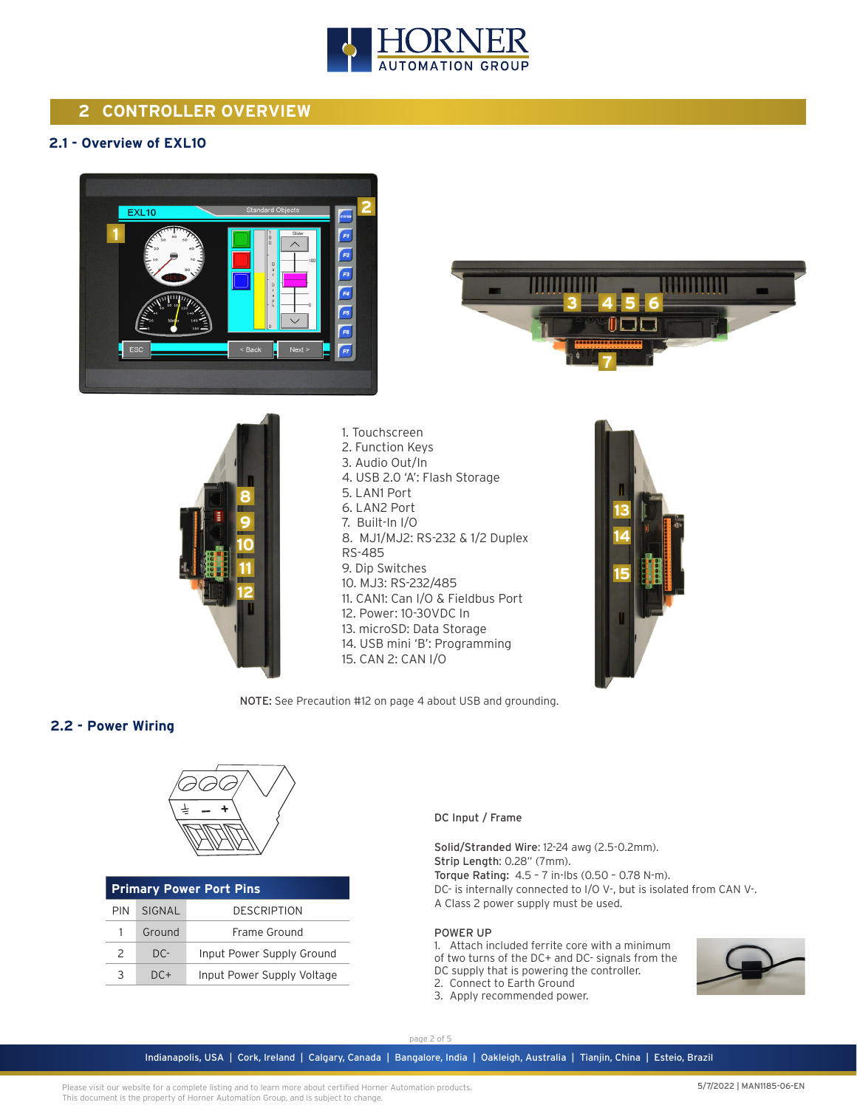

# **2 CONTROLLER OVERVIEW**

## **2.1 - Overview of EXL10**







1. Touchscreen 2. Function Keys 3. Audio Out/In 4. USB 2.0 'A': Flash Storage 5. LAN1 Port 6. LAN2 Port 7. Built-In I/O 8. MJ1/MJ2: RS-232 & 1/2 Duplex RS-485 9. Dip Switches 10. MJ3: RS-232/485 11. CAN1: Can I/O & Fieldbus Port 12. Power: 10-30VDC In 13. microSD: Data Storage 14. USB mini 'B': Programming 15. CAN 2: CAN I/O



NOTE: See Precaution #12 on page 4 about USB and grounding.

### **2.2 - Power Wiring**



| <b>Primary Power Port Pins</b>       |        |                            |  |
|--------------------------------------|--------|----------------------------|--|
| <b>DESCRIPTION</b><br>SIGNAL<br>PIN. |        |                            |  |
|                                      | Ground | Frame Ground               |  |
| $\mathcal{L}$                        | $DC -$ | Input Power Supply Ground  |  |
| २                                    | $DC+$  | Input Power Supply Voltage |  |

DC Input / Frame

Solid/Stranded Wire: 12-24 awg (2.5-0.2mm). Strip Length: 0.28" (7mm). Torque Rating: 4.5 – 7 in-lbs (0.50 – 0.78 N-m). DC- is internally connected to I/O V-, but is isolated from CAN V-. A Class 2 power supply must be used.

#### POWER UP

1. Attach included ferrite core with a minimum of two turns of the DC+ and DC- signals from the DC supply that is powering the controller. 2. Connect to Earth Ground

3. Apply recommended power.



page 2 of 5

Indianapolis, USA | Cork, Ireland | Calgary, Canada | Bangalore, India | Oakleigh, Australia | Tianjin, China | Esteio, Brazil

Please visit our website for a complete listing and to learn more about certified Horner Automation products. This document is the property of Horner Automation Group, and is subject to change.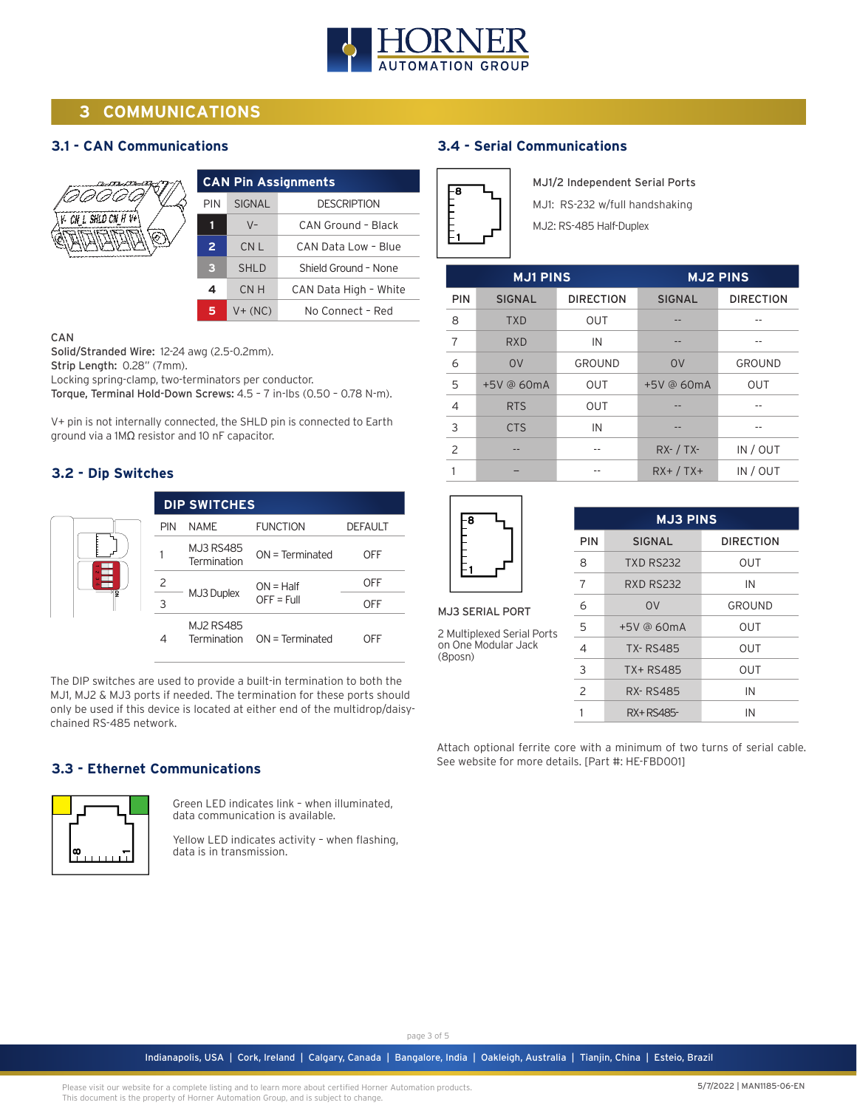

# **3 COMMUNICATIONS**

## **3.1 - CAN Communications**



| <b>CAN Pin Assignments</b> |                       |  |  |
|----------------------------|-----------------------|--|--|
| <b>SIGNAL</b>              | <b>DESCRIPTION</b>    |  |  |
| $V -$                      | CAN Ground - Black    |  |  |
| CN L                       | CAN Data Low - Blue   |  |  |
| <b>SHLD</b>                | Shield Ground - None  |  |  |
| CMH                        | CAN Data High - White |  |  |
| $V + (NC)$                 | No Connect - Red      |  |  |
|                            |                       |  |  |

#### CAN

Solid/Stranded Wire: 12-24 awg (2.5-0.2mm).

Strip Length: 0.28" (7mm).

Locking spring-clamp, two-terminators per conductor.

Torque, Terminal Hold-Down Screws: 4.5 – 7 in-lbs (0.50 – 0.78 N-m).

V+ pin is not internally connected, the SHLD pin is connected to Earth ground via a 1MΩ resistor and 10 nF capacitor.

## **3.2 - Dip Switches**

|   |            | <b>DIP SWITCHES</b>             |                             |                |
|---|------------|---------------------------------|-----------------------------|----------------|
| g | <b>PIN</b> | NAME                            | <b>FUNCTION</b>             | <b>DEFAULT</b> |
|   |            | <b>MJ3 RS485</b><br>Termination | $ON = Terminated$           | OFF            |
|   |            |                                 | $ON = Half$                 | OFF            |
|   | ς          | MJ3 Duplex                      | $OFF = Full$                | OFF            |
|   |            | <b>MJ2 RS485</b>                | Termination ON = Terminated | OFF            |

The DIP switches are used to provide a built-in termination to both the MJ1, MJ2 & MJ3 ports if needed. The termination for these ports should only be used if this device is located at either end of the multidrop/daisychained RS-485 network.

## **3.3 - Ethernet Communications**



Green LED indicates link – when illuminated, data communication is available.

Yellow LED indicates activity – when flashing, data is in transmission.

## **3.4 - Serial Communications**

| ą |  |
|---|--|
|   |  |
|   |  |
|   |  |
|   |  |

MJ1/2 Independent Serial Ports

MJ1: RS-232 w/full handshaking

MJ2: RS-485 Half-Duplex

| <b>MJ1 PINS</b> |               |                  | <b>MJ2 PINS</b> |                  |
|-----------------|---------------|------------------|-----------------|------------------|
| <b>PIN</b>      | <b>SIGNAL</b> | <b>DIRECTION</b> | <b>SIGNAL</b>   | <b>DIRECTION</b> |
| 8               | <b>TXD</b>    | <b>OUT</b>       |                 |                  |
| 7               | <b>RXD</b>    | IN               |                 |                  |
| 6               | 0V            | GROUND           | <b>OV</b>       | GROUND           |
| 5               | +5V @ 60mA    | <b>OUT</b>       | $+5V$ @ 60mA    | <b>OUT</b>       |
| 4               | <b>RTS</b>    | <b>OUT</b>       |                 |                  |
| 3               | <b>CTS</b>    | IN               |                 |                  |
| 2               |               |                  | $RX - / TX -$   | IN / OUT         |
|                 |               |                  | $RX+ / TX+$     | IN / OUT         |



MJ3 SERIAL PORT

2 Multiplexed Serial Ports on One Modular Jack (8posn)

| <b>MJ3 PINS</b> |                  |                  |  |
|-----------------|------------------|------------------|--|
| PIN             | <b>SIGNAL</b>    | <b>DIRECTION</b> |  |
| 8               | <b>TXD RS232</b> | OUT              |  |
| 7               | <b>RXD RS232</b> | IN               |  |
| 6               | 0 <sup>V</sup>   | GROUND           |  |
| 5               | $+5V$ @ 60mA     | OUT              |  |
| 4               | <b>TX-RS485</b>  | OUT              |  |
| 3               | TX+RS485         | OUT              |  |
| $\mathcal{P}$   | <b>RX-RS485</b>  | IN               |  |
|                 | RX+RS485-        | IN               |  |

Attach optional ferrite core with a minimum of two turns of serial cable. See website for more details. [Part #: HE-FBD001]

page 3 of 5

Indianapolis, USA | Cork, Ireland | Calgary, Canada | Bangalore, India | Oakleigh, Australia | Tianjin, China | Esteio, Brazil

Please visit our website for a complete listing and to learn more about certified Horner Automation products. This document is the property of Horner Automation Group, and is subject to change.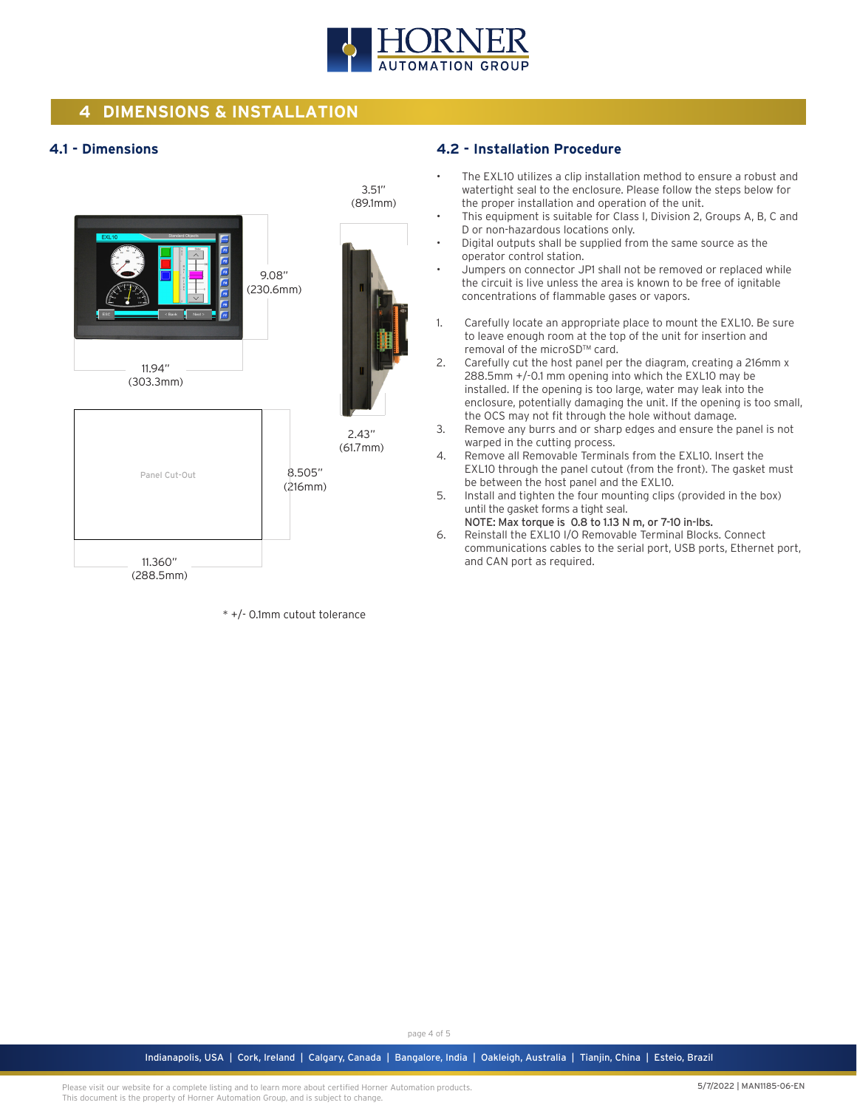

# **4 DIMENSIONS & INSTALLATION**

### **4.1 - Dimensions**



\* +/- 0.1mm cutout tolerance

#### **4.2 - Installation Procedure**

- The EXL10 utilizes a clip installation method to ensure a robust and watertight seal to the enclosure. Please follow the steps below for the proper installation and operation of the unit.
- This equipment is suitable for Class I, Division 2, Groups A, B, C and D or non-hazardous locations only.
- Digital outputs shall be supplied from the same source as the operator control station.
- Jumpers on connector JP1 shall not be removed or replaced while the circuit is live unless the area is known to be free of ignitable concentrations of flammable gases or vapors.
- 1. Carefully locate an appropriate place to mount the EXL10. Be sure to leave enough room at the top of the unit for insertion and removal of the microSD™ card.
- 2. Carefully cut the host panel per the diagram, creating a 216mm x 288.5mm +/-0.1 mm opening into which the EXL10 may be installed. If the opening is too large, water may leak into the enclosure, potentially damaging the unit. If the opening is too small, the OCS may not fit through the hole without damage.
- 3. Remove any burrs and or sharp edges and ensure the panel is not warped in the cutting process.
- 4. Remove all Removable Terminals from the EXL10. Insert the EXL10 through the panel cutout (from the front). The gasket must be between the host panel and the EXL10.
- 5. Install and tighten the four mounting clips (provided in the box) until the gasket forms a tight seal.
- NOTE: Max torque is 0.8 to 1.13 N m, or 7-10 in-lbs. 6. Reinstall the EXL10 I/O Removable Terminal Blocks. Connect communications cables to the serial port, USB ports, Ethernet port, and CAN port as required.

page 4 of 5